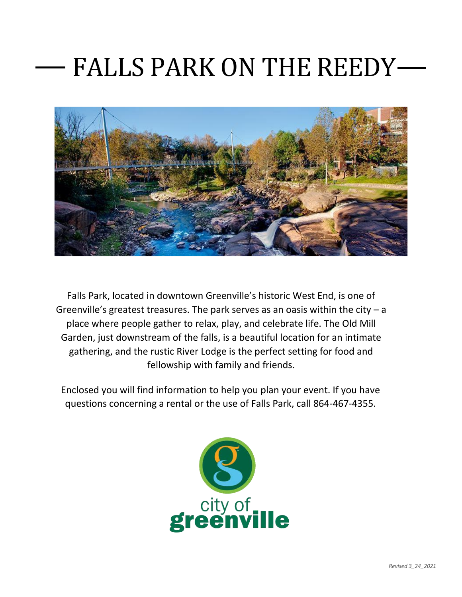## FALLS PARK ON THE REEDY



Falls Park, located in downtown Greenville's historic West End, is one of Greenville's greatest treasures. The park serves as an oasis within the city  $-a$ place where people gather to relax, play, and celebrate life. The Old Mill Garden, just downstream of the falls, is a beautiful location for an intimate gathering, and the rustic River Lodge is the perfect setting for food and fellowship with family and friends.

Enclosed you will find information to help you plan your event. If you have questions concerning a rental or the use of Falls Park, call 864-467-4355.

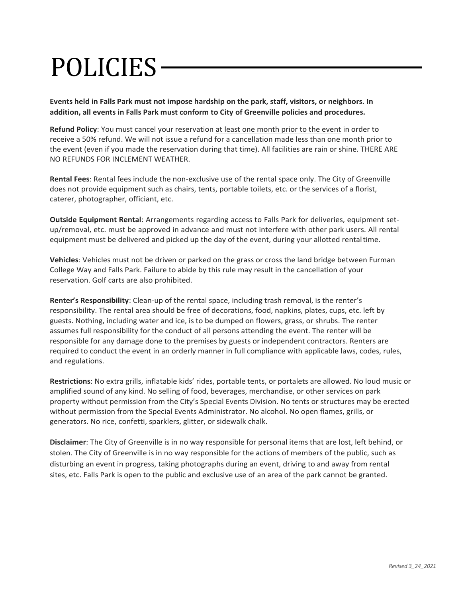# POLICIES

**Events held in Falls Park must not impose hardship on the park, staff, visitors, or neighbors. In addition, all events in Falls Park must conform to City of Greenville policies and procedures.**

**Refund Policy**: You must cancel your reservation at least one month prior to the event in order to receive a 50% refund. We will not issue a refund for a cancellation made less than one month prior to the event (even if you made the reservation during that time). All facilities are rain or shine. THERE ARE NO REFUNDS FOR INCLEMENT WEATHER.

**Rental Fees**: Rental fees include the non-exclusive use of the rental space only. The City of Greenville does not provide equipment such as chairs, tents, portable toilets, etc. or the services of a florist, caterer, photographer, officiant, etc.

**Outside Equipment Rental**: Arrangements regarding access to Falls Park for deliveries, equipment setup/removal, etc. must be approved in advance and must not interfere with other park users. All rental equipment must be delivered and picked up the day of the event, during your allotted rentaltime.

**Vehicles**: Vehicles must not be driven or parked on the grass or cross the land bridge between Furman College Way and Falls Park. Failure to abide by this rule may result in the cancellation of your reservation. Golf carts are also prohibited.

**Renter's Responsibility**: Clean-up of the rental space, including trash removal, is the renter's responsibility. The rental area should be free of decorations, food, napkins, plates, cups, etc. left by guests. Nothing, including water and ice, is to be dumped on flowers, grass, or shrubs. The renter assumes full responsibility for the conduct of all persons attending the event. The renter will be responsible for any damage done to the premises by guests or independent contractors. Renters are required to conduct the event in an orderly manner in full compliance with applicable laws, codes, rules, and regulations.

**Restrictions**: No extra grills, inflatable kids' rides, portable tents, or portalets are allowed. No loud music or amplified sound of any kind. No selling of food, beverages, merchandise, or other services on park property without permission from the City's Special Events Division. No tents or structures may be erected without permission from the Special Events Administrator. No alcohol. No open flames, grills, or generators. No rice, confetti, sparklers, glitter, or sidewalk chalk.

**Disclaimer**: The City of Greenville is in no way responsible for personal items that are lost, left behind, or stolen. The City of Greenville is in no way responsible for the actions of members of the public, such as disturbing an event in progress, taking photographs during an event, driving to and away from rental sites, etc. Falls Park is open to the public and exclusive use of an area of the park cannot be granted.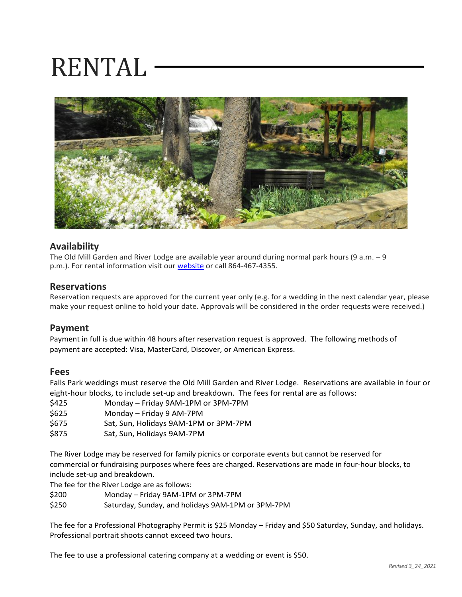## RENTAL



### **Availability**

The Old Mill Garden and River Lodge are available year around during normal park hours (9 a.m. – 9 p.m.). For rental information visit our [website](https://secure.rec1.com/SC/greenville-sc/catalog/index/011c2224fbe06db1c4b9d124fdb9fa2c?filter=c2VhcmNoPSZsb2NhdGlvbiU1QjEzMTY4JTVEPTE=) or call 864-467-4355.

#### **Reservations**

Reservation requests are approved for the current year only (e.g. for a wedding in the next calendar year, please make your request online to hold your date. Approvals will be considered in the order requests were received.)

### **Payment**

Payment in full is due within 48 hours after reservation request is approved. The following methods of payment are accepted: Visa, MasterCard, Discover, or American Express.

#### **Fees**

Falls Park weddings must reserve the Old Mill Garden and River Lodge. Reservations are available in four or eight-hour blocks, to include set-up and breakdown. The fees for rental are as follows:

- \$425 Monday Friday 9AM-1PM or 3PM-7PM
- \$625 Monday Friday 9 AM-7PM
- \$675 Sat, Sun, Holidays 9AM-1PM or 3PM-7PM
- \$875 Sat, Sun, Holidays 9AM-7PM

The River Lodge may be reserved for family picnics or corporate events but cannot be reserved for commercial or fundraising purposes where fees are charged. Reservations are made in four-hour blocks, to include set-up and breakdown.

The fee for the River Lodge are as follows:

- \$200 Monday Friday 9AM-1PM or 3PM-7PM
- \$250 Saturday, Sunday, and holidays 9AM-1PM or 3PM-7PM

The fee for a Professional Photography Permit is \$25 Monday – Friday and \$50 Saturday, Sunday, and holidays. Professional portrait shoots cannot exceed two hours.

The fee to use a professional catering company at a wedding or event is \$50.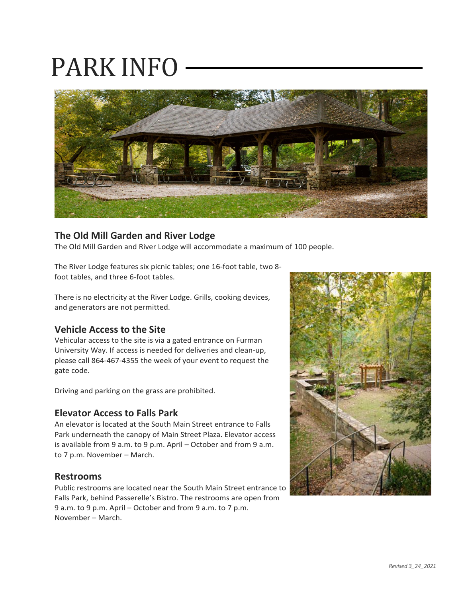## PARK INFO



### **The Old Mill Garden and River Lodge**

The Old Mill Garden and River Lodge will accommodate a maximum of 100 people.

The River Lodge features six picnic tables; one 16-foot table, two 8 foot tables, and three 6-foot tables.

There is no electricity at the River Lodge. Grills, cooking devices, and generators are not permitted.

### **Vehicle Access to the Site**

Vehicular access to the site is via a gated entrance on Furman University Way. If access is needed for deliveries and clean-up, please call 864-467-4355 the week of your event to request the gate code.

Driving and parking on the grass are prohibited.

### **Elevator Access to Falls Park**

An elevator is located at the South Main Street entrance to Falls Park underneath the canopy of Main Street Plaza. Elevator access is available from 9 a.m. to 9 p.m. April – October and from 9 a.m. to 7 p.m. November – March.

#### **Restrooms**

Public restrooms are located near the South Main Street entrance to Falls Park, behind Passerelle's Bistro. The restrooms are open from 9 a.m. to 9 p.m. April – October and from 9 a.m. to 7 p.m. November – March.

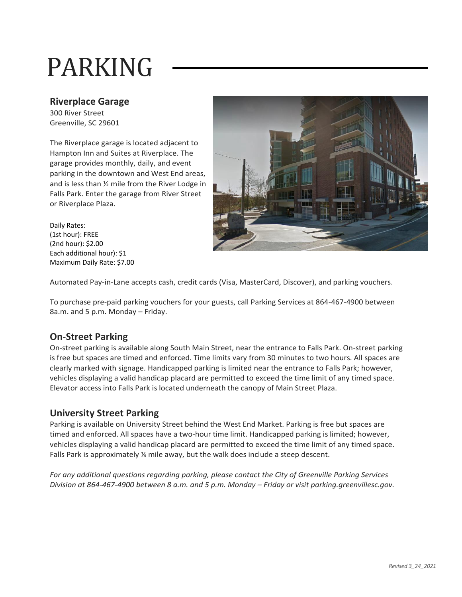# PARKING

### **Riverplace Garage**

300 River Street Greenville, SC 29601

The Riverplace garage is located adjacent to Hampton Inn and Suites at Riverplace. The garage provides monthly, daily, and event parking in the downtown and West End areas, and is less than ½ mile from the River Lodge in Falls Park. Enter the garage from River Street or Riverplace Plaza.



Daily Rates: (1st hour): FREE (2nd hour): \$2.00 Each additional hour): \$1 Maximum Daily Rate: \$7.00

Automated Pay-in-Lane accepts cash, credit cards (Visa, MasterCard, Discover), and parking vouchers.

To purchase pre-paid parking vouchers for your guests, call Parking Services at 864-467-4900 between 8a.m. and 5 p.m. Monday – Friday.

## **On-Street Parking**

On-street parking is available along South Main Street, near the entrance to Falls Park. On-street parking is free but spaces are timed and enforced. Time limits vary from 30 minutes to two hours. All spaces are clearly marked with signage. Handicapped parking is limited near the entrance to Falls Park; however, vehicles displaying a valid handicap placard are permitted to exceed the time limit of any timed space. Elevator access into Falls Park is located underneath the canopy of Main Street Plaza.

## **University Street Parking**

Parking is available on University Street behind the West End Market. Parking is free but spaces are timed and enforced. All spaces have a two-hour time limit. Handicapped parking is limited; however, vehicles displaying a valid handicap placard are permitted to exceed the time limit of any timed space. Falls Park is approximately % mile away, but the walk does include a steep descent.

*For any additional questions regarding parking, please contact the City of Greenville Parking Services*  Division at 864-467-4900 between 8 a.m. and 5 p.m. Monday – Friday or visit parking.greenvillesc.gov.